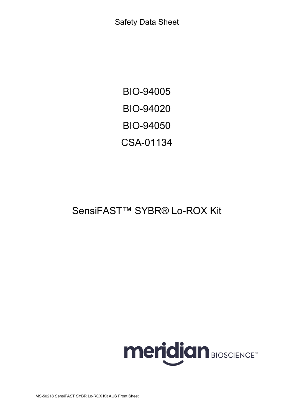Safety Data Sheet

BIO-94005 BIO-94020 BIO-94050 CSA-01134

# SensiFAST™ SYBR® Lo-ROX Kit

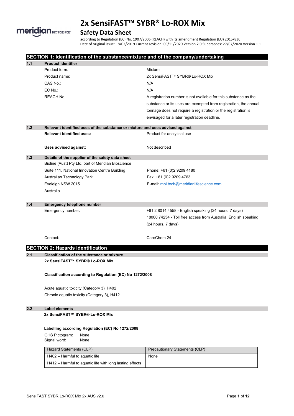

# **Safety Data Sheet**

according to Regulation (EC) No. 1907/2006 (REACH) with its amendment Regulation (EU) 2015/830 Date of original issue: 18/02/2019 Current revision: 09/11/2020 Version 2.0 Supersedes: 27/07/2020 Version 1.1

|       | SECTION 1: Identification of the substance/mixture and of the company/undertaking |                                                                  |  |
|-------|-----------------------------------------------------------------------------------|------------------------------------------------------------------|--|
| 1.1   | <b>Product identifier</b>                                                         |                                                                  |  |
|       | Product form:                                                                     | Mixture                                                          |  |
|       | Product name:                                                                     | 2x SensiFAST™ SYBR® Lo-ROX Mix                                   |  |
|       | CAS No.:                                                                          | N/A                                                              |  |
|       | EC No.:                                                                           | N/A                                                              |  |
|       | <b>REACH No.:</b>                                                                 | A registration number is not available for this substance as the |  |
|       |                                                                                   | substance or its uses are exempted from registration, the annual |  |
|       |                                                                                   | tonnage does not require a registration or the registration is   |  |
|       |                                                                                   | envisaged for a later registration deadline.                     |  |
| $1.2$ | Relevant identified uses of the substance or mixture and uses advised against     |                                                                  |  |
|       | <b>Relevant identified uses:</b>                                                  | Product for analytical use                                       |  |
|       | Uses advised against:                                                             | Not described                                                    |  |
| $1.3$ | Details of the supplier of the safety data sheet                                  |                                                                  |  |
|       | Bioline (Aust) Pty Ltd, part of Meridian Bioscience                               |                                                                  |  |
|       | Suite 111, National Innovation Centre Building                                    | Phone: +61 (0)2 9209 4180                                        |  |
|       | Australian Technology Park                                                        | Fax: +61 (0)2 9209 4763                                          |  |
|       | Eveleigh NSW 2015                                                                 | E-mail: mbi.tech@meridianlifescience.com                         |  |
|       | Australia                                                                         |                                                                  |  |
| 1.4   | <b>Emergency telephone number</b>                                                 |                                                                  |  |
|       | Emergency number:                                                                 | +61 2 8014 4558 - English speaking (24 hours, 7 days)            |  |
|       |                                                                                   | 18000 74234 - Toll free access from Australia, English speaking  |  |
|       |                                                                                   | (24 hours, 7 days)                                               |  |
|       | Contact:                                                                          | CareChem 24                                                      |  |
|       | <b>SECTION 2: Hazards identification</b>                                          |                                                                  |  |
| 2.1   | <b>Classification of the substance or mixture</b>                                 |                                                                  |  |
|       | 2x SensiFAST™ SYBR® Lo-ROX Mix                                                    |                                                                  |  |
|       | Classification according to Regulation (EC) No 1272/2008                          |                                                                  |  |
|       | Acute aquatic toxicity (Category 3), H402                                         |                                                                  |  |
|       | Chronic aquatic toxicity (Category 3), H412                                       |                                                                  |  |
| 2.2   | <b>Label elements</b>                                                             |                                                                  |  |
|       | 2x SensiFAST™ SYBR® Lo-ROX Mix                                                    |                                                                  |  |
|       | Labelling according Regulation (EC) No 1272/2008                                  |                                                                  |  |
|       | GHS Pictogram:<br>None<br>Signal word:<br>None                                    |                                                                  |  |
|       | Hazard Statements (CLP)                                                           | Precautionary Statements (CLP)                                   |  |
|       | H402 - Harmful to aquatic life                                                    | None                                                             |  |
|       | H412 - Harmful to aquatic life with long lasting effects                          |                                                                  |  |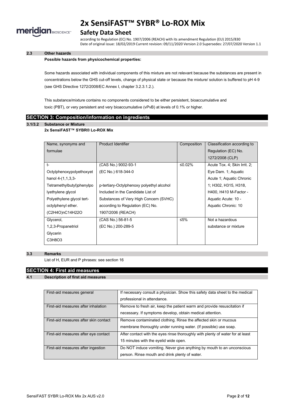

# **Safety Data Sheet**

according to Regulation (EC) No. 1907/2006 (REACH) with its amendment Regulation (EU) 2015/830 Date of original issue: 18/02/2019 Current revision: 09/11/2020 Version 2.0 Supersedes: 27/07/2020 Version 1.1

## **2.3 Other hazards**

#### **Possible hazards from physicochemical properties:**

Some hazards associated with individual components of this mixture are not relevant because the substances are present in concentrations below the GHS cut-off levels, change of physical state or because the mixture/ solution is buffered to pH 4-9 (see GHS Directive 1272/2008/EC Annex I, chapter 3.2.3.1.2.).

This substance/mixture contains no components considered to be either persistent, bioaccumulative and toxic (PBT), or very persistent and very bioaccumulative (vPvB) at levels of 0.1% or higher.

#### **SECTION 3: Composition/information on ingredients**

# **3.1/3.2 Substance or Mixture**

#### **2x SensiFAST™ SYBR® Lo-ROX Mix**

| Name, synonyms and        | Product Identifier                        | Composition | Classification according to  |
|---------------------------|-------------------------------------------|-------------|------------------------------|
| formulae                  |                                           |             | Regulation (EC) No.          |
|                           |                                           |             | 1272/2008 (CLP)              |
| $t-$                      | (CAS No.) 9002-93-1                       | ≤0.02%      | Acute Tox. 4; Skin Irrit. 2; |
| Octylphenoxypolyethoxyet  | (EC No.) 618-344-0                        |             | Eye Dam. 1; Aquatic          |
| hanol $4-(1,1,3,3-$       |                                           |             | Acute 1; Aquatic Chronic     |
| Tetramethylbutyl)phenylpo | p-tertiary-Octylphenoxy polyethyl alcohol |             | 1; H302, H315, H318,         |
| lyethylene glycol         | Included in the Candidate List of         |             | H400, H410 M-Factor -        |
| Polyethylene glycol tert- | Substances of Very High Concern (SVHC)    |             | Aquatic Acute: 10 -          |
| octylphenyl ether.        | according to Regulation (EC) No.          |             | Aquatic Chronic: 10          |
| (C2H4O)nC14H22O           | 1907/2006 (REACH)                         |             |                              |
| Glycerol,                 | (CAS No.) 56-81-5                         | ≤5%         | Not a hazardous              |
| 1,2,3-Propanetriol        | (EC No.) 200-289-5                        |             | substance or mixture         |
| Glycerin                  |                                           |             |                              |
| C3H8O3                    |                                           |             |                              |

#### **3.3 Remarks**

List of H, EUR and P phrases: see section 16

## **SECTION 4: First aid measures**

#### **4.1 Description of first aid measures**

| First-aid measures general            | If necessary consult a physician. Show this safety data sheet to the medical<br>professional in attendance.                          |
|---------------------------------------|--------------------------------------------------------------------------------------------------------------------------------------|
| First-aid measures after inhalation   | Remove to fresh air, keep the patient warm and provide resuscitation if<br>necessary. If symptoms develop, obtain medical attention. |
| First-aid measures after skin contact | Remove contaminated clothing. Rinse the affected skin or mucous<br>membrane thoroughly under running water. (If possible) use soap.  |
| First-aid measures after eye contact  | After contact with the eyes rinse thoroughly with plenty of water for at least<br>15 minutes with the eyelid wide open.              |
| First-aid measures after ingestion    | Do NOT induce vomiting. Never give anything by mouth to an unconscious<br>person. Rinse mouth and drink plenty of water.             |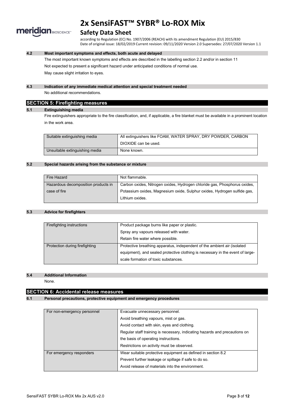

# **Safety Data Sheet**

according to Regulation (EC) No. 1907/2006 (REACH) with its amendment Regulation (EU) 2015/830 Date of original issue: 18/02/2019 Current revision: 09/11/2020 Version 2.0 Supersedes: 27/07/2020 Version 1.1

### **4.2 Most important symptoms and effects, both acute and delayed**

The most important known symptoms and effects are described in the labelling section 2.2 and/or in section 11 Not expected to present a significant hazard under anticipated conditions of normal use. May cause slight irritation to eyes.

#### **4.3 Indication of any immediate medical attention and special treatment needed**

No additional recommendations.

# **SECTION 5: Firefighting measures**

#### **5.1 Extinguishing media**

Fire extinguishers appropriate to the fire classification, and, if applicable, a fire blanket must be available in a prominent location in the work area.

| Suitable extinguishing media   | All extinguishers like FOAM, WATER SPRAY, DRY POWDER, CARBON |
|--------------------------------|--------------------------------------------------------------|
|                                | DIOXIDE can be used.                                         |
| Unsuitable extinguishing media | None known.                                                  |

#### **5.2 Special hazards arising from the substance or mixture**

| Fire Hazard                         | Not flammable.                                                            |
|-------------------------------------|---------------------------------------------------------------------------|
| Hazardous decomposition products in | Carbon oxides, Nitrogen oxides, Hydrogen chloride gas, Phosphorus oxides, |
| case of fire                        | Potassium oxides, Magnesium oxide, Sulphur oxides, Hydrogen sulfide gas,  |
|                                     | Lithium oxides.                                                           |

#### **5.3 Advice for firefighters**

| Firefighting instructions      | Product package burns like paper or plastic.                                   |
|--------------------------------|--------------------------------------------------------------------------------|
|                                | Spray any vapours released with water.                                         |
|                                | Retain fire water where possible.                                              |
| Protection during firefighting | Protective breathing apparatus, independent of the ambient air (isolated       |
|                                | equipment), and sealed protective clothing is necessary in the event of large- |
|                                | scale formation of toxic substances.                                           |

#### **5.4 Additional Information**

None.

## **SECTION 6: Accidental release measures**

#### **6.1 Personal precautions, protective equipment and emergency procedures**

| Evacuate unnecessary personnel.<br>For non-emergency personnel |                                                                            |  |
|----------------------------------------------------------------|----------------------------------------------------------------------------|--|
|                                                                | Avoid breathing vapours, mist or gas.                                      |  |
|                                                                | Avoid contact with skin, eyes and clothing.                                |  |
|                                                                | Regular staff training is necessary, indicating hazards and precautions on |  |
|                                                                | the basis of operating instructions.                                       |  |
|                                                                | Restrictions on activity must be observed.                                 |  |
| For emergency responders                                       | Wear suitable protective equipment as defined in section 8.2               |  |
|                                                                | Prevent further leakage or spillage if safe to do so.                      |  |
|                                                                | Avoid release of materials into the environment.                           |  |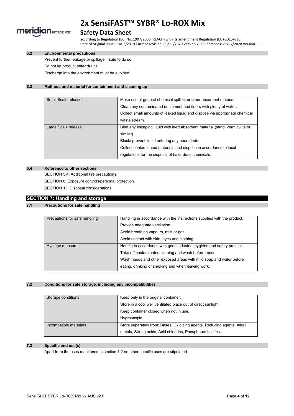

# **Safety Data Sheet**

according to Regulation (EC) No. 1907/2006 (REACH) with its amendment Regulation (EU) 2015/830 Date of original issue: 18/02/2019 Current revision: 09/11/2020 Version 2.0 Supersedes: 27/07/2020 Version 1.1

### **6.2 Environmental precautions**

Prevent further leakage or spillage if safe to do so.

Do not let product enter drains.

Discharge into the environment must be avoided.

### **6.3 Methods and material for containment and cleaning up**

| Small Scale release | Make use of general chemical spill kit or other absorbent material.          |
|---------------------|------------------------------------------------------------------------------|
|                     | Clean any contaminated equipment and floors with plenty of water.            |
|                     | Collect small amounts of leaked liquid and dispose via appropriate chemical  |
|                     | waste stream.                                                                |
| Large Scale release | Bind any escaping liquid with inert absorbent material (sand, vermiculite or |
|                     | similar).                                                                    |
|                     | Block/ prevent liquid entering any open drain.                               |
|                     | Collect contaminated materials and dispose in accordance to local            |
|                     | regulations for the disposal of hazardous chemicals.                         |

#### **6.4 Reference to other sections**

SECTION 5.4: Additional fire precautions. SECTION 8: Exposure controls/personal protection. SECTION 13: Disposal considerations.

# **SECTION 7: Handling and storage**

## **7.1 Precautions for safe handling**

| Precautions for safe handling | Handling in accordance with the instructions supplied with the product.<br>Provide adequate ventilation. |  |
|-------------------------------|----------------------------------------------------------------------------------------------------------|--|
|                               | Avoid breathing vapours, mist or gas.                                                                    |  |
|                               | Avoid contact with skin, eyes and clothing.                                                              |  |
| Hygiene measures              | Handle in accordance with good industrial hygiene and safety practice.                                   |  |
|                               | Take off contaminated clothing and wash before reuse.                                                    |  |
|                               | Wash hands and other exposed areas with mild soap and water before                                       |  |
|                               | eating, drinking or smoking and when leaving work.                                                       |  |

#### **7.2 Conditions for safe storage, including any incompatibilities**

| Storage conditions     | Keep only in the original container.                                    |
|------------------------|-------------------------------------------------------------------------|
|                        | Store in a cool well ventilated place out of direct sunlight.           |
|                        | Keep container closed when not in use.                                  |
|                        | Hygroscopic.                                                            |
| Incompatible materials | Store separately from: Bases, Oxidizing agents, Reducing agents, Alkali |
|                        | metals, Strong acids, Acid chlorides, Phosphorus halides.               |

### **7.3 Specific end use(s)**

Apart from the uses mentioned in section 1.2 no other specific uses are stipulated.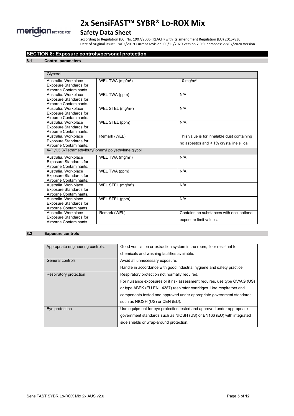

# **Safety Data Sheet**

according to Regulation (EC) No. 1907/2006 (REACH) with its amendment Regulation (EU) 2015/830 Date of original issue: 18/02/2019 Current revision: 09/11/2020 Version 2.0 Supersedes: 27/07/2020 Version 1.1

## **SECTION 8: Exposure controls/personal protection**

#### **8.1 Control parameters**

| Glycerol                                                                        |                               |                                                                    |  |
|---------------------------------------------------------------------------------|-------------------------------|--------------------------------------------------------------------|--|
| Australia. Workplace<br><b>Exposure Standards for</b><br>Airborne Contaminants. | WEL TWA (mg/m <sup>3</sup> )  | 10 mg/ $m3$                                                        |  |
| Australia. Workplace<br><b>Exposure Standards for</b><br>Airborne Contaminants. | WEL TWA (ppm)                 | N/A                                                                |  |
| Australia. Workplace<br><b>Exposure Standards for</b><br>Airborne Contaminants. | WEL STEL (mg/m <sup>3</sup> ) | N/A                                                                |  |
| Australia. Workplace<br><b>Exposure Standards for</b><br>Airborne Contaminants. | WEL STEL (ppm)                | N/A                                                                |  |
| Australia. Workplace                                                            | Remark (WEL)                  | This value is for inhalable dust containing                        |  |
| <b>Exposure Standards for</b><br>Airborne Contaminants.                         |                               | no asbestos and < 1% crystalline silica.                           |  |
| 4-(1,1,3,3-Tetramethylbutyl)phenyl polyethylene glycol                          |                               |                                                                    |  |
| Australia. Workplace<br><b>Exposure Standards for</b><br>Airborne Contaminants. | WEL TWA (mg/m <sup>3</sup> )  | N/A                                                                |  |
| Australia. Workplace<br><b>Exposure Standards for</b><br>Airborne Contaminants. | WEL TWA (ppm)                 | N/A                                                                |  |
| Australia. Workplace<br><b>Exposure Standards for</b><br>Airborne Contaminants. | WEL STEL (mg/m <sup>3</sup> ) | N/A                                                                |  |
| Australia. Workplace<br><b>Exposure Standards for</b><br>Airborne Contaminants. | WEL STEL (ppm)                | N/A                                                                |  |
| Australia. Workplace<br><b>Exposure Standards for</b><br>Airborne Contaminants. | Remark (WEL)                  | Contains no substances with occupational<br>exposure limit values. |  |

### **8.2 Exposure controls**

| Appropriate engineering controls: | Good ventilation or extraction system in the room, floor resistant to<br>chemicals and washing facilities available.                                                                                                                                                                                             |
|-----------------------------------|------------------------------------------------------------------------------------------------------------------------------------------------------------------------------------------------------------------------------------------------------------------------------------------------------------------|
| General controls                  | Avoid all unnecessary exposure.<br>Handle in accordance with good industrial hygiene and safety practice.                                                                                                                                                                                                        |
| Respiratory protection            | Respiratory protection not normally required.<br>For nuisance exposures or if risk assessment requires, use type OV/AG (US)<br>or type ABEK (EU EN 14387) respirator cartridges. Use respirators and<br>components tested and approved under appropriate government standards<br>such as NIOSH (US) or CEN (EU). |
| Eye protection                    | Use equipment for eye protection tested and approved under appropriate<br>government standards such as NIOSH (US) or EN166 (EU) with integrated<br>side shields or wrap-around protection.                                                                                                                       |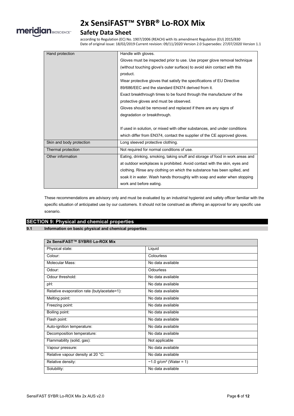

# **Safety Data Sheet**

according to Regulation (EC) No. 1907/2006 (REACH) with its amendment Regulation (EU) 2015/830 Date of original issue: 18/02/2019 Current revision: 09/11/2020 Version 2.0 Supersedes: 27/07/2020 Version 1.1

| Hand protection          | Handle with gloves.                                                           |
|--------------------------|-------------------------------------------------------------------------------|
|                          | Gloves must be inspected prior to use. Use proper glove removal technique     |
|                          | (without touching glove's outer surface) to avoid skin contact with this      |
|                          | product.                                                                      |
|                          | Wear protective gloves that satisfy the specifications of EU Directive        |
|                          | 89/686/EEC and the standard EN374 derived from it.                            |
|                          | Exact breakthrough times to be found through the manufacturer of the          |
|                          | protective gloves and must be observed.                                       |
|                          | Gloves should be removed and replaced if there are any signs of               |
|                          | degradation or breakthrough.                                                  |
|                          |                                                                               |
|                          | If used in solution, or mixed with other substances, and under conditions     |
|                          | which differ from EN374, contact the supplier of the CE approved gloves.      |
| Skin and body protection | Long sleeved protective clothing.                                             |
| Thermal protection       | Not required for normal conditions of use.                                    |
| Other information        | Eating, drinking, smoking, taking snuff and storage of food in work areas and |
|                          | at outdoor workplaces is prohibited. Avoid contact with the skin, eyes and    |
|                          | clothing. Rinse any clothing on which the substance has been spilled, and     |
|                          | soak it in water. Wash hands thoroughly with soap and water when stopping     |
|                          | work and before eating.                                                       |

These recommendations are advisory only and must be evaluated by an industrial hygienist and safety officer familiar with the specific situation of anticipated use by our customers. It should not be construed as offering an approval for any specific use scenario.

# **SECTION 9: Physical and chemical properties**

#### **9.1 Information on basic physical and chemical properties**

| 2x SensiFAST™ SYBR® Lo-ROX Mix              |                           |
|---------------------------------------------|---------------------------|
| Physical state:                             | Liquid                    |
| Colour:                                     | Colourless                |
| Molecular Mass:                             | No data available         |
| Odour:                                      | Odourless                 |
| Odour threshold:                            | No data available         |
| pH:                                         | No data available         |
| Relative evaporation rate (butylacetate=1): | No data available         |
| Melting point:                              | No data available         |
| Freezing point:                             | No data available         |
| Boiling point:                              | No data available         |
| Flash point:                                | No data available         |
| Auto-ignition temperature:                  | No data available         |
| Decomposition temperature:                  | No data available         |
| Flammability (solid, gas):                  | Not applicable            |
| Vapour pressure:                            | No data available         |
| Relative vapour density at 20 °C:           | No data available         |
| Relative density:                           | ~1.0 $g/cm^3$ (Water = 1) |
| Solubility:                                 | No data available         |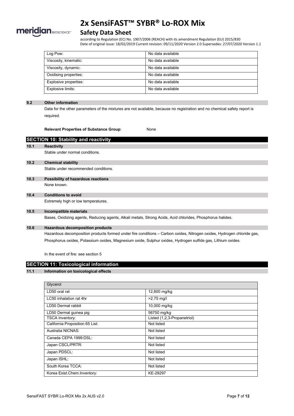

# **Safety Data Sheet**

according to Regulation (EC) No. 1907/2006 (REACH) with its amendment Regulation (EU) 2015/830 Date of original issue: 18/02/2019 Current revision: 09/11/2020 Version 2.0 Supersedes: 27/07/2020 Version 1.1

| Log Pow:              | No data available |
|-----------------------|-------------------|
| Viscosity, kinematic: | No data available |
| Viscosity, dynamic:   | No data available |
| Oxidising properties: | No data available |
| Explosive properties: | No data available |
| Explosive limits:     | No data available |

#### **9.2 Other information**

Data for the other parameters of the mixtures are not available, because no registration and no chemical safety report is required.

**Relevant Properties of Substance Group**: None

**SECTION 10: Stability and reactivity 10.1 Reactivity** Stable under normal conditions. **10.2 Chemical stability** Stable under recommended conditions. **10.3 Possibility of hazardous reactions** None known. **10.4 Conditions to avoid** Extremely high or low temperatures. **10.5 Incompatible materials** Bases, Oxidizing agents, Reducing agents, Alkali metals, Strong Acids, Acid chlorides, Phosphorus halides. **10.6 Hazardous decomposition products**

Hazardous decomposition products formed under fire conditions – Carbon oxides, Nitrogen oxides, Hydrogen chloride gas, Phosphorus oxides, Potassium oxides, Magnesium oxide, Sulphur oxides, Hydrogen sulfide gas, Lithium oxides.

In the event of fire: see section 5

## **11.1 Information on toxicological effects**

| Glycerol                        |                             |
|---------------------------------|-----------------------------|
| LD50 oral rat                   | 12,600 mg/kg                |
| LC50 inhalation rat 4hr         | $>2.75$ mg/l                |
| LD50 Dermal rabbit              | 10,000 mg/kg                |
| LD50 Dermal guinea pig          | 56750 mg/kg                 |
| <b>TSCA Inventory:</b>          | Listed (1,2,3-Propanetriol) |
| California Proposition 65 List: | Not listed                  |
| Australia NICNAS:               | Not listed                  |
| Canada CEPA 1999:DSL:           | Not listed                  |
| Japan CSCL/PRTR:                | Not listed                  |
| Japan PDSCL:                    | Not listed                  |
| Japan ISHL:                     | Not listed                  |
| South Korea TCCA:               | Not listed                  |
| Korea Exist Chem Inventory:     | KE-29297                    |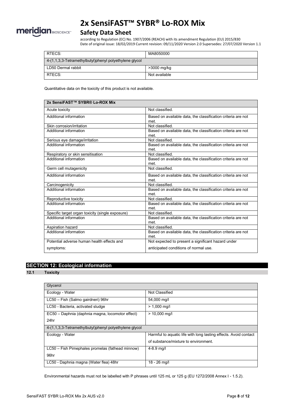

# **Safety Data Sheet**

according to Regulation (EC) No. 1907/2006 (REACH) with its amendment Regulation (EU) 2015/830 Date of original issue: 18/02/2019 Current revision: 09/11/2020 Version 2.0 Supersedes: 27/07/2020 Version 1.1

| RTECS:                                                     | MA8050000     |
|------------------------------------------------------------|---------------|
| $4-(1,1,3,3)$ -Tetramethylbutyl)phenyl polyethylene glycol |               |
| LD50 Dermal rabbit                                         | >3000 mg/kg   |
| RTECS:                                                     | Not available |

Quantitative data on the toxicity of this product is not available.

| 2x SensiFAST™ SYBR® Lo-ROX Mix                   |                                                              |
|--------------------------------------------------|--------------------------------------------------------------|
| Acute toxicity                                   | Not classified                                               |
| Additional information                           | Based on available data, the classification criteria are not |
|                                                  | met.                                                         |
| Skin corrosion/irritation                        | Not classified.                                              |
| Additional information                           | Based on available data, the classification criteria are not |
|                                                  | met.                                                         |
| Serious eye damage/irritation                    | Not classified.                                              |
| Additional information                           | Based on available data, the classification criteria are not |
|                                                  | met.                                                         |
| Respiratory or skin sensitisation                | Not classified                                               |
| Additional information                           | Based on available data, the classification criteria are not |
|                                                  | met.                                                         |
| Germ cell mutagenicity                           | Not classified.                                              |
| Additional information                           | Based on available data, the classification criteria are not |
|                                                  | met.                                                         |
| Carcinogenicity                                  | Not classified.                                              |
| Additional information                           | Based on available data, the classification criteria are not |
|                                                  | met.                                                         |
| Reproductive toxicity                            | Not classified.                                              |
| Additional information                           | Based on available data, the classification criteria are not |
|                                                  | met.                                                         |
| Specific target organ toxicity (single exposure) | Not classified.                                              |
| Additional information                           | Based on available data, the classification criteria are not |
|                                                  | met.                                                         |
| Aspiration hazard                                | Not classified.                                              |
| Additional information                           | Based on available data, the classification criteria are not |
|                                                  | met.                                                         |
| Potential adverse human health effects and       | Not expected to present a significant hazard under           |
| symptoms:                                        | anticipated conditions of normal use.                        |
|                                                  |                                                              |

# **SECTION 12: Ecological information**

**12.1 Toxicity**

| Glycerol                                               |                                                                  |
|--------------------------------------------------------|------------------------------------------------------------------|
| Ecology - Water                                        | Not Classified                                                   |
| LC50 - Fish (Salmo gairdneri) 96hr                     | 54,000 mg/l                                                      |
| LC50 - Bacteria, activated sludge                      | $> 1,000$ mg/l                                                   |
| EC50 - Daphnia (daphnia magna, locomotor effect)       | $> 10,000$ mg/l                                                  |
| 24hr                                                   |                                                                  |
| 4-(1,1,3,3-Tetramethylbutyl)phenyl polyethylene glycol |                                                                  |
| Ecology - Water                                        | Harmful to aquatic life with long lasting effects. Avoid contact |
|                                                        | of substance/mixture to environment.                             |
| LC50 – Fish Pimephales promelas (fathead minnow)       | $4 - 8.9$ mg/l                                                   |
| 96hr                                                   |                                                                  |
| LC50 - Daphnia magna (Water flea) 48hr                 | 18 - 26 mg/l                                                     |

Environmental hazards must not be labelled with P phrases until 125 mL or 125 g (EU 1272/2008 Annex I - 1.5.2).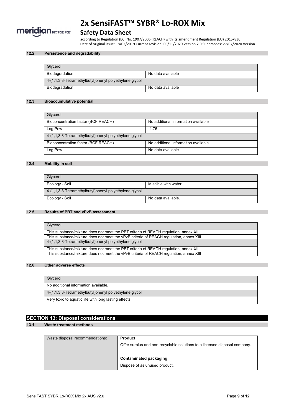

# **Safety Data Sheet**

according to Regulation (EC) No. 1907/2006 (REACH) with its amendment Regulation (EU) 2015/830 Date of original issue: 18/02/2019 Current revision: 09/11/2020 Version 2.0 Supersedes: 27/07/2020 Version 1.1

### **12.2 Persistence and degradability**

| Glvcerol                                               |                   |
|--------------------------------------------------------|-------------------|
| Biodegradation                                         | No data available |
| 4-(1,1,3,3-Tetramethylbutyl)phenyl polyethylene glycol |                   |
| Biodegradation                                         | No data available |

#### **12.3 Bioaccumulative potential**

| Glycerol                                               |                                     |
|--------------------------------------------------------|-------------------------------------|
| Bioconcentration factor (BCF REACH)                    | No additional information available |
| Log Pow                                                | $-1.76$                             |
| 4-(1,1,3,3-Tetramethylbutyl)phenyl polyethylene glycol |                                     |
| Bioconcentration factor (BCF REACH)                    | No additional information available |
| Log Pow                                                | No data available                   |

#### **12.4 Mobility in soil**

| Glycerol                                               |                      |
|--------------------------------------------------------|----------------------|
| Ecology - Soil                                         | Miscible with water. |
| 4-(1,1,3,3-Tetramethylbutyl)phenyl polyethylene glycol |                      |
| Ecology - Soil                                         | No data available.   |

#### **12.5 Results of PBT and vPvB assessment**

| Glycerol                                                                               |
|----------------------------------------------------------------------------------------|
| This substance/mixture does not meet the PBT criteria of REACH regulation, annex XIII  |
| This substance/mixture does not meet the vPvB criteria of REACH regulation, annex XIII |
| 4-(1,1,3,3-Tetramethylbutyl)phenyl polyethylene glycol                                 |
| This substance/mixture does not meet the PBT criteria of REACH regulation, annex XIII  |
| This substance/mixture does not meet the vPvB criteria of REACH requiation, annex XIII |

#### **12.6 Other adverse effects**

| Glycerol                                               |
|--------------------------------------------------------|
| No additional information available.                   |
| 4-(1,1,3,3-Tetramethylbutyl)phenyl polyethylene glycol |
| Very toxic to aquatic life with long lasting effects.  |

# **SECTION 13: Disposal considerations**

## **13.1 Waste treatment methods**

| Waste disposal recommendations: | <b>Product</b>                                                             |
|---------------------------------|----------------------------------------------------------------------------|
|                                 | Offer surplus and non-recyclable solutions to a licensed disposal company. |
|                                 | Contaminated packaging                                                     |
|                                 |                                                                            |
|                                 | Dispose of as unused product.                                              |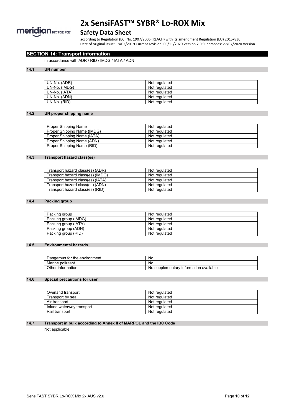

# **Safety Data Sheet**

according to Regulation (EC) No. 1907/2006 (REACH) with its amendment Regulation (EU) 2015/830 Date of original issue: 18/02/2019 Current revision: 09/11/2020 Version 2.0 Supersedes: 27/07/2020 Version 1.1

## **SECTION 14: Transport information**

In accordance with ADR / RID / IMDG / IATA / ADN

#### **14.1 UN number**

| UN-No. (ADR)  | Not regulated |
|---------------|---------------|
| UN-No. (IMDG) | Not regulated |
| UN-No. (IATA) | Not regulated |
| UN-No. (ADN)  | Not regulated |
| UN-No. (RID)  | Not regulated |

#### **14.2 UN proper shipping name**

| Proper Shipping Name        | Not regulated |
|-----------------------------|---------------|
| Proper Shipping Name (IMDG) | Not regulated |
| Proper Shipping Name (IATA) | Not regulated |
| Proper Shipping Name (ADN)  | Not regulated |
| Proper Shipping Name (RID)  | Not regulated |

### **14.3 Transport hazard class(es)**

| Transport hazard class(es) (ADR)  | Not regulated |
|-----------------------------------|---------------|
| Transport hazard class(es) (IMDG) | Not regulated |
| Transport hazard class(es) (IATA) | Not regulated |
| Transport hazard class(es) (ADN)  | Not regulated |
| Transport hazard class(es) (RID)  | Not regulated |

#### **14.4 Packing group**

| Packing group        | Not regulated |
|----------------------|---------------|
| Packing group (IMDG) | Not regulated |
| Packing group (IATA) | Not regulated |
| Packing group (ADN)  | Not regulated |
| Packing group (RID)  | Not regulated |

#### **14.5 Environmental hazards**

| Dangerous for<br>the environment ' | No                                             |
|------------------------------------|------------------------------------------------|
| pollutant<br>Marine                | No                                             |
| Other<br>∶information              | ' information available<br>supplementarv<br>ΝO |

### **14.6 Special precautions for user**

| Overland transport        | Not regulated |
|---------------------------|---------------|
| Transport by sea          | Not regulated |
| Air transport             | Not regulated |
| Inland waterway transport | Not regulated |
| Rail transport            | Not regulated |

#### **14.7 Transport in bulk according to Annex II of MARPOL and the IBC Code**

Not applicable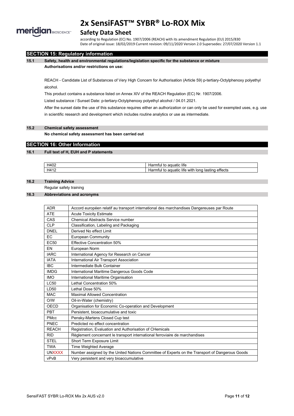

# **Safety Data Sheet**

according to Regulation (EC) No. 1907/2006 (REACH) with its amendment Regulation (EU) 2015/830 Date of original issue: 18/02/2019 Current revision: 09/11/2020 Version 2.0 Supersedes: 27/07/2020 Version 1.1

### **SECTION 15: Regulatory information**

#### **15.1 Safety, health and environmental regulations/legislation specific for the substance or mixture Authorisations and/or restrictions on use:**

REACH - Candidate List of Substances of Very High Concern for Authorisation (Article 59) p-tertiary-Octylphenoxy polyethyl alcohol.

This product contains a substance listed on Annex XIV of the REACH Regulation (EC) Nr. 1907/2006.

Listed substance / Sunset Date: p-tertiary-Octylphenoxy polyethyl alcohol / 04.01.2021.

After the sunset date the use of this substance requires either an authorization or can only be used for exempted uses, e.g. use in scientific research and development which includes routine analytics or use as intermediate.

### **15.2 Chemical safety assessment**

**No chemical safety assessment has been carried out**

### **SECTION 16: Other Information**

#### **16.1 Full text of H, EUH and P statements**

| H402 | life<br>าuatic<br>ntul<br>LC.<br>1dl                                                          |
|------|-----------------------------------------------------------------------------------------------|
| H412 | $\cdots$<br>$\cdots$<br>effects<br>with<br>lite.<br>lastıng<br>ntul<br>Iona<br>aquatic<br>⊣ar |

### **16.2 Training Advice**

Regular safety training

#### **16.3 Abbreviations and acronyms**

| <b>ADR</b>       | Accord européen relatif au transport international des marchandises Dangereuses par Route      |
|------------------|------------------------------------------------------------------------------------------------|
| <b>ATE</b>       | <b>Acute Toxicity Estimate</b>                                                                 |
| CAS              | <b>Chemical Abstracts Service number</b>                                                       |
| <b>CLP</b>       | Classification, Labeling and Packaging                                                         |
| <b>DNEL</b>      | Derived No effect I imit                                                                       |
| EC.              | <b>European Community</b>                                                                      |
| EC <sub>50</sub> | <b>Effective Concentration 50%</b>                                                             |
| EN               | European Norm                                                                                  |
| <b>IARC</b>      | International Agency for Research on Cancer                                                    |
| <b>IATA</b>      | International Air Transport Association                                                        |
| <b>IBC</b>       | Intermediate Bulk Container                                                                    |
| <b>IMDG</b>      | International Maritime Dangerous Goods Code                                                    |
| <b>IMO</b>       | International Maritime Organisation                                                            |
| <b>LC50</b>      | Lethal Concentration 50%                                                                       |
| LD50             | Lethal Dose 50%                                                                                |
| <b>MAC</b>       | <b>Maximal Allowed Concentration</b>                                                           |
| O/W              | Oil-in-Water (chemistry)                                                                       |
| OECD             | Organisation for Economic Co-operation and Development                                         |
| <b>PBT</b>       | Persistent, bioaccumulative and toxic                                                          |
| <b>PMcc</b>      | Pensky-Martens Closed Cup test                                                                 |
| PNEC             | Predicted no effect concentration                                                              |
| <b>REACH</b>     | Registration, Evaluation and Authorisation of CHemicals                                        |
| <b>RID</b>       | Règlement concernant le transport international ferroviaire de marchandises                    |
| <b>STEL</b>      | Short Term Exposure Limit                                                                      |
| <b>TWA</b>       | Time Weighted Average                                                                          |
| <b>UNXXXX</b>    | Number assigned by the United Nations Committee of Experts on the Transport of Dangerous Goods |
| vPvB             | Very persistent and very bioaccumulative                                                       |